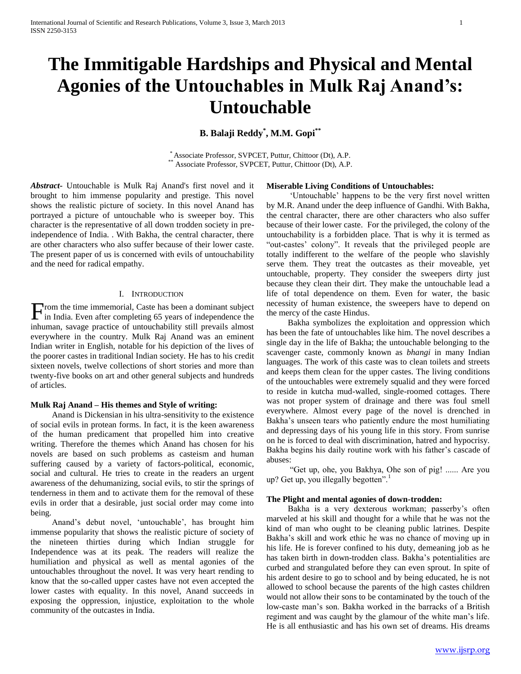# **The Immitigable Hardships and Physical and Mental Agonies of the Untouchables in Mulk Raj Anand's: Untouchable**

**B. Balaji Reddy\* , M.M. Gopi\*\***

\* Associate Professor, SVPCET, Puttur, Chittoor (Dt), A.P. Associate Professor, SVPCET, Puttur, Chittoor (Dt), A.P.

*Abstract***-** Untouchable is Mulk Raj Anand's first novel and it brought to him immense popularity and prestige. This novel shows the realistic picture of society. In this novel Anand has portrayed a picture of untouchable who is sweeper boy. This character is the representative of all down trodden society in preindependence of India. . With Bakha, the central character, there are other characters who also suffer because of their lower caste. The present paper of us is concerned with evils of untouchability and the need for radical empathy.

# I. INTRODUCTION

rom the time immemorial, Caste has been a dominant subject From the time immemorial, Caste has been a dominant subject<br>in India. Even after completing 65 years of independence the inhuman, savage practice of untouchability still prevails almost everywhere in the country. Mulk Raj Anand was an eminent Indian writer in English, notable for his depiction of the lives of the poorer castes in traditional Indian society. He has to his credit sixteen novels, twelve collections of short stories and more than twenty-five books on art and other general subjects and hundreds of articles.

## **Mulk Raj Anand – His themes and Style of writing:**

 Anand is Dickensian in his ultra-sensitivity to the existence of social evils in protean forms. In fact, it is the keen awareness of the human predicament that propelled him into creative writing. Therefore the themes which Anand has chosen for his novels are based on such problems as casteism and human suffering caused by a variety of factors-political, economic, social and cultural. He tries to create in the readers an urgent awareness of the dehumanizing, social evils, to stir the springs of tenderness in them and to activate them for the removal of these evils in order that a desirable, just social order may come into being.

 Anand"s debut novel, "untouchable", has brought him immense popularity that shows the realistic picture of society of the nineteen thirties during which Indian struggle for Independence was at its peak. The readers will realize the humiliation and physical as well as mental agonies of the untouchables throughout the novel. It was very heart rending to know that the so-called upper castes have not even accepted the lower castes with equality. In this novel, Anand succeeds in exposing the oppression, injustice, exploitation to the whole community of the outcastes in India.

#### **Miserable Living Conditions of Untouchables:**

 "Untouchable" happens to be the very first novel written by M.R. Anand under the deep influence of Gandhi. With Bakha, the central character, there are other characters who also suffer because of their lower caste. For the privileged, the colony of the untouchability is a forbidden place. That is why it is termed as "out-castes" colony". It reveals that the privileged people are totally indifferent to the welfare of the people who slavishly serve them. They treat the outcastes as their moveable, yet untouchable, property. They consider the sweepers dirty just because they clean their dirt. They make the untouchable lead a life of total dependence on them. Even for water, the basic necessity of human existence, the sweepers have to depend on the mercy of the caste Hindus.

 Bakha symbolizes the exploitation and oppression which has been the fate of untouchables like him. The novel describes a single day in the life of Bakha; the untouchable belonging to the scavenger caste, commonly known as *bhangi* in many Indian languages. The work of this caste was to clean toilets and streets and keeps them clean for the upper castes. The living conditions of the untouchables were extremely squalid and they were forced to reside in kutcha mud-walled, single-roomed cottages. There was not proper system of drainage and there was foul smell everywhere. Almost every page of the novel is drenched in Bakha"s unseen tears who patiently endure the most humiliating and depressing days of his young life in this story. From sunrise on he is forced to deal with discrimination, hatred and hypocrisy. Bakha begins his daily routine work with his father"s cascade of abuses:

 "Get up, ohe, you Bakhya, Ohe son of pig! ...... Are you up? Get up, you illegally begotten".

# **The Plight and mental agonies of down-trodden:**

Bakha is a very dexterous workman; passerby's often marveled at his skill and thought for a while that he was not the kind of man who ought to be cleaning public latrines. Despite Bakha's skill and work ethic he was no chance of moving up in his life. He is forever confined to his duty, demeaning job as he has taken birth in down-trodden class. Bakha"s potentialities are curbed and strangulated before they can even sprout. In spite of his ardent desire to go to school and by being educated, he is not allowed to school because the parents of the high castes children would not allow their sons to be contaminated by the touch of the low-caste man"s son. Bakha worked in the barracks of a British regiment and was caught by the glamour of the white man"s life. He is all enthusiastic and has his own set of dreams. His dreams